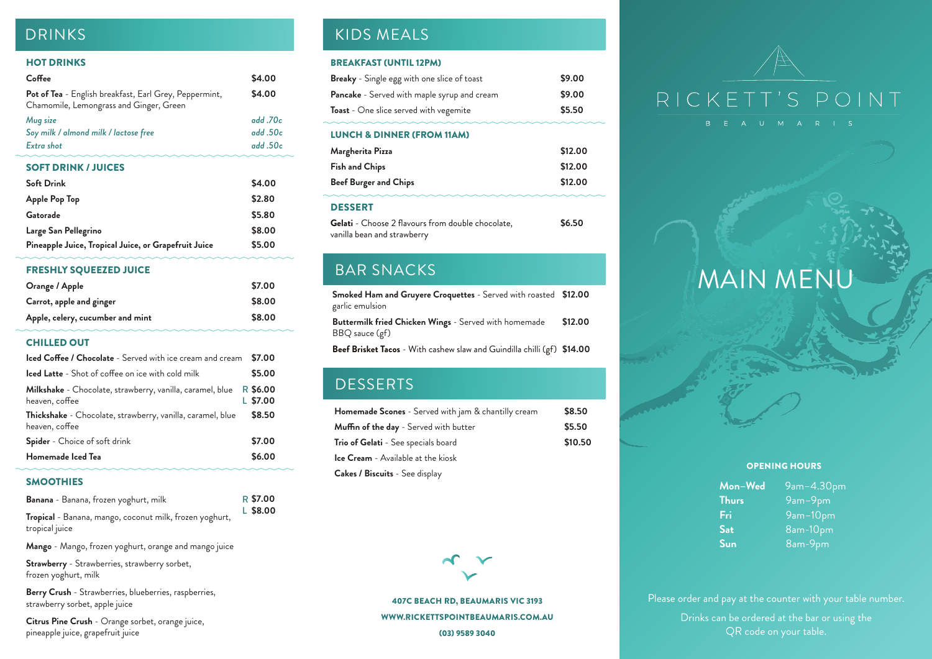407C BEACH RD, BEAUMARIS VIC 3193 WWW.RICKETTSPOINTBEAUMARIS.COM.AU

Please order and pay at the counter with your table number. Drinks can be ordered at the bar or using the QR code on your table.

(03) 9589 3040



# RICKETT'S POINT

# MAIN MENU

### HOT DRINKS

| Coffee                                                                                            | \$4.00   |
|---------------------------------------------------------------------------------------------------|----------|
| Pot of Tea - English breakfast, Earl Grey, Peppermint,<br>Chamomile, Lemongrass and Ginger, Green | \$4.00   |
| Mug size                                                                                          | add.70c  |
| Soy milk / almond milk / lactose free                                                             | add.50c  |
| Extra shot                                                                                        | add .50c |
| <b>SOFT DRINK / JUICES</b>                                                                        |          |
| <b>Soft Drink</b>                                                                                 | \$4.00   |
| <b>Apple Pop Top</b>                                                                              | \$2.80   |
| Gatorade                                                                                          | \$5.80   |
| Large San Pellegrino                                                                              | \$8.00   |
| Pineapple Juice, Tropical Juice, or Grapefruit Juice                                              | \$5.00   |

## FRESHLY SQUEEZED JUICE

| <b>Orange / Apple</b>            | \$7.00 |
|----------------------------------|--------|
| Carrot, apple and ginger         | \$8.00 |
| Apple, celery, cucumber and mint | \$8.00 |

## CHILLED OUT

**Mon–Wed** 9am–4.30pm **Thurs** 9am–9pm **Fri** 9am–10pm Sat 8am-10pm **Sun** 8am-9pm

## SMOOTHIES

**Mango** - Mango, frozen yoghurt, orange and mango juice

**Strawberry** - Strawberries, strawberry sorbet, frozen yoghurt, milk

**Berry Crush** - Strawberries, blueberries, raspberries, strawberry sorbet, apple juice

**Citrus Pine Crush** - Orange sorbet, orange juice, pineapple juice, grapefruit juice

# DRINKS NEALS AND STUDENTS AND ALL THE RESEARCH CHARGES IN THE RESEARCH OF THE RESEARCH OF THE RESEARCH OF THE RESEARCH OF THE RESEARCH OF THE RESEARCH OF THE RESEARCH OF THE RESEARCH OF THE RESEARCH OF THE RESEARCH OF THE

**Smoked Ham and Gruyere Croquettes** - Served with roasted **\$12.00** garlic emulsion

| <b>Iced Coffee / Chocolate</b> - Served with ice cream and cream             | \$7.00                 |
|------------------------------------------------------------------------------|------------------------|
| <b>Iced Latte</b> - Shot of coffee on ice with cold milk                     | \$5.00                 |
| Milkshake - Chocolate, strawberry, vanilla, caramel, blue<br>heaven, coffee  | R \$6.00<br>$L$ \$7.00 |
| Thickshake - Chocolate, strawberry, vanilla, caramel, blue<br>heaven, coffee | \$8.50                 |
| <b>Spider</b> - Choice of soft drink                                         | \$7.00                 |
| Homemade Iced Tea                                                            | \$6.00                 |

**Buttermilk fried Chicken Wings** - Served with homemade BBQ sauce (gf) **\$12.00**

**Beef Brisket Tacos** - With cashew slaw and Guindilla chilli (gf) **\$14.00**

## **DESSERTS**

| Banana - Banana, frozen yoghurt, milk                   | R \$7.00   |
|---------------------------------------------------------|------------|
| Tropical - Banana, mango, coconut milk, frozen yoghurt, | $L$ \$8.00 |
| tropical juice                                          |            |

| <b>Homemade Scones</b> - Served with jam & chantilly cream | \$8.50  |
|------------------------------------------------------------|---------|
| <b>Muffin of the day</b> - Served with butter              | \$5.50  |
| Trio of Gelati - See specials board                        | \$10.50 |
| <b>Ice Cream</b> - Available at the kiosk                  |         |
| <b>Cakes / Biscuits</b> - See display                      |         |



### OPENING HOURS

### BREAKFAST (UNTIL 12PM)

| <b>Breaky</b> - Single egg with one slice of toast | \$9.00 |
|----------------------------------------------------|--------|
| <b>Pancake</b> - Served with maple syrup and cream | \$9.00 |
| <b>Toast</b> - One slice served with vegemite      | \$5.50 |

## LUNCH & DINNER (FROM 11AM)

| Margherita Pizza             | \$12.00 |
|------------------------------|---------|
| <b>Fish and Chips</b>        | \$12.00 |
| <b>Beef Burger and Chips</b> | \$12.00 |
|                              |         |

## DESSERT

| <b>Gelati</b> - Choose 2 flavours from double chocolate, | \$6.50 |
|----------------------------------------------------------|--------|
| vanilla bean and strawberry                              |        |

## BAR SNACKS